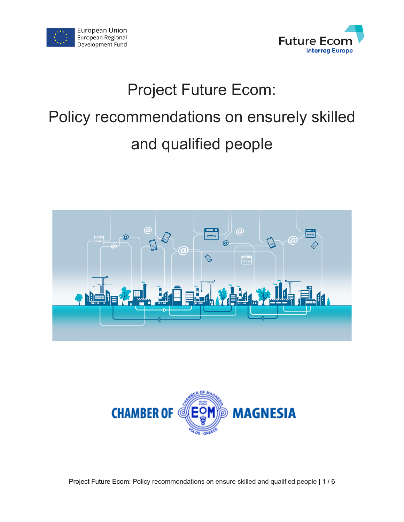



# Project Future Ecom: Policy recommendations on ensurely skilled and qualified people





Project Future Ecom: Policy recommendations on ensure skilled and qualified people | 1 / 6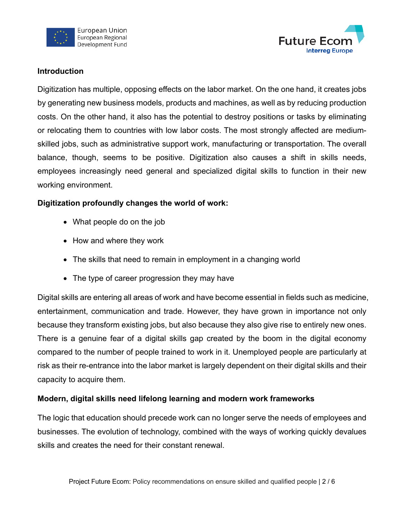



#### **Introduction**

Digitization has multiple, opposing effects on the labor market. On the one hand, it creates jobs by generating new business models, products and machines, as well as by reducing production costs. On the other hand, it also has the potential to destroy positions or tasks by eliminating or relocating them to countries with low labor costs. The most strongly affected are mediumskilled jobs, such as administrative support work, manufacturing or transportation. The overall balance, though, seems to be positive. Digitization also causes a shift in skills needs, employees increasingly need general and specialized digital skills to function in their new working environment.

## **Digitization profoundly changes the world of work:**

- What people do on the job
- How and where they work
- The skills that need to remain in employment in a changing world
- The type of career progression they may have

Digital skills are entering all areas of work and have become essential in fields such as medicine, entertainment, communication and trade. However, they have grown in importance not only because they transform existing jobs, but also because they also give rise to entirely new ones. There is a genuine fear of a digital skills gap created by the boom in the digital economy compared to the number of people trained to work in it. Unemployed people are particularly at risk as their re-entrance into the labor market is largely dependent on their digital skills and their capacity to acquire them.

## **Modern, digital skills need lifelong learning and modern work frameworks**

The logic that education should precede work can no longer serve the needs of employees and businesses. The evolution of technology, combined with the ways of working quickly devalues skills and creates the need for their constant renewal.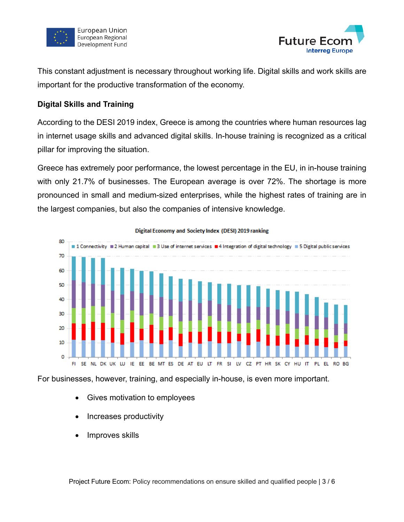



This constant adjustment is necessary throughout working life. Digital skills and work skills are important for the productive transformation of the economy.

#### **Digital Skills and Training**

According to the DESI 2019 index, Greece is among the countries where human resources lag in internet usage skills and advanced digital skills. In-house training is recognized as a critical pillar for improving the situation.

Greece has extremely poor performance, the lowest percentage in the EU, in in-house training with only 21.7% of businesses. The European average is over 72%. The shortage is more pronounced in small and medium-sized enterprises, while the highest rates of training are in the largest companies, but also the companies of intensive knowledge.



Digital Economy and Society Index (DESI) 2019 ranking

For businesses, however, training, and especially in-house, is even more important.

- Gives motivation to employees
- Increases productivity
- Improves skills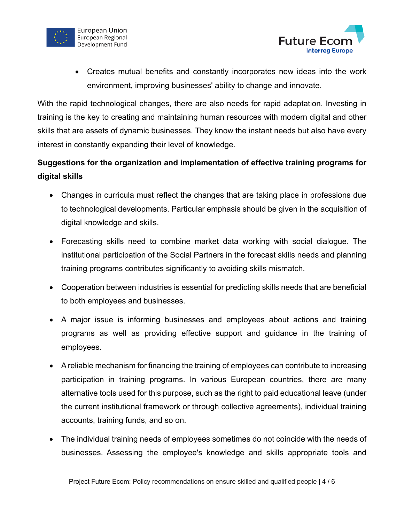



• Creates mutual benefits and constantly incorporates new ideas into the work environment, improving businesses' ability to change and innovate.

With the rapid technological changes, there are also needs for rapid adaptation. Investing in training is the key to creating and maintaining human resources with modern digital and other skills that are assets of dynamic businesses. They know the instant needs but also have every interest in constantly expanding their level of knowledge.

# **Suggestions for the organization and implementation of effective training programs for digital skills**

- Changes in curricula must reflect the changes that are taking place in professions due to technological developments. Particular emphasis should be given in the acquisition of digital knowledge and skills.
- Forecasting skills need to combine market data working with social dialogue. The institutional participation of the Social Partners in the forecast skills needs and planning training programs contributes significantly to avoiding skills mismatch.
- Cooperation between industries is essential for predicting skills needs that are beneficial to both employees and businesses.
- A major issue is informing businesses and employees about actions and training programs as well as providing effective support and guidance in the training of employees.
- A reliable mechanism for financing the training of employees can contribute to increasing participation in training programs. In various European countries, there are many alternative tools used for this purpose, such as the right to paid educational leave (under the current institutional framework or through collective agreements), individual training accounts, training funds, and so on.
- The individual training needs of employees sometimes do not coincide with the needs of businesses. Assessing the employee's knowledge and skills appropriate tools and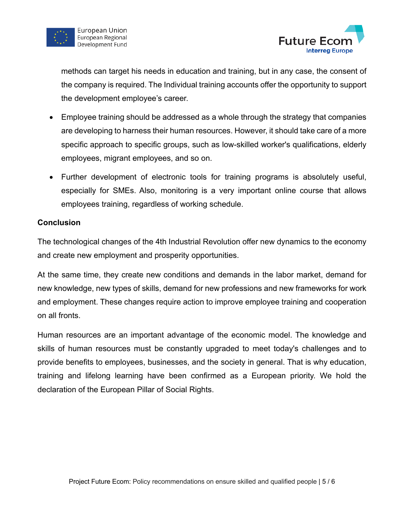



methods can target his needs in education and training, but in any case, the consent of the company is required. The Individual training accounts offer the opportunity to support the development employee's career.

- Employee training should be addressed as a whole through the strategy that companies are developing to harness their human resources. However, it should take care of a more specific approach to specific groups, such as low-skilled worker's qualifications, elderly employees, migrant employees, and so on.
- Further development of electronic tools for training programs is absolutely useful, especially for SMEs. Also, monitoring is a very important online course that allows employees training, regardless of working schedule.

#### **Conclusion**

The technological changes of the 4th Industrial Revolution offer new dynamics to the economy and create new employment and prosperity opportunities.

At the same time, they create new conditions and demands in the labor market, demand for new knowledge, new types of skills, demand for new professions and new frameworks for work and employment. These changes require action to improve employee training and cooperation on all fronts.

Human resources are an important advantage of the economic model. The knowledge and skills of human resources must be constantly upgraded to meet today's challenges and to provide benefits to employees, businesses, and the society in general. That is why education, training and lifelong learning have been confirmed as a European priority. We hold the declaration of the European Pillar of Social Rights.